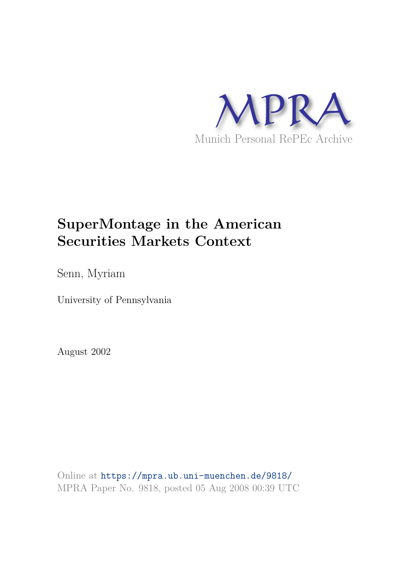

# **SuperMontage in the American Securities Markets Context**

Senn, Myriam

University of Pennsylvania

August 2002

Online at https://mpra.ub.uni-muenchen.de/9818/ MPRA Paper No. 9818, posted 05 Aug 2008 00:39 UTC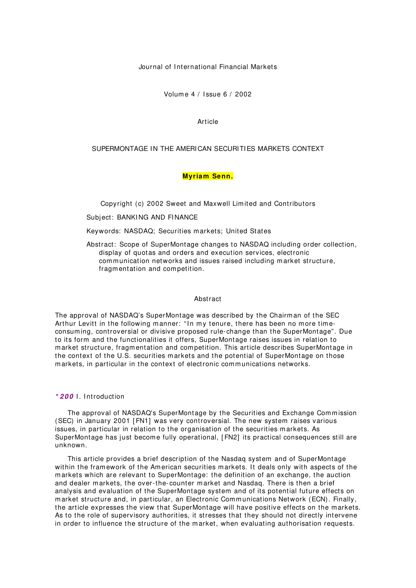Journal of International Financial Markets

Volum e 4 / I ssue 6 / 2002

Article

## SUPERMONTAGE IN THE AMERICAN SECURITIES MARKETS CONTEXT

## **Myriam Senn.**

Copyright (c) 2002 Sweet and Maxwell Lim ited and Contributors

Subject: BANKING AND FINANCE

Keywords: NASDAQ; Securities m arkets; United States

Abstract: Scope of SuperMontage changes to NASDAQ including order collection, display of quotas and orders and execution services, electronic communication networks and issues raised including market structure, fragm entation and com petition.

## Abstract

The approval of NASDAQ's SuperMontage was described by the Chairm an of the SEC Arthur Levitt in the following manner: "In my tenure, there has been no more timeconsum ing, controversial or divisive proposed rule-change than the SuperMontage". Due to its form and the functionalities it offers, SuperMontage raises issues in relation to m arket structure, fragm entation and com petition. This article describes SuperMontage in the context of the U.S. securities m arkets and the potential of SuperMontage on those markets, in particular in the context of electronic communications networks.

# **\* 2 0 0** I . I ntroduction

The approval of NASDAQ's SuperMontage by the Securities and Exchange Commission (SEC) in January 2001 [ FN1] was very controversial. The new system raises various issues, in particular in relation to the organisation of the securities m arkets. As SuperMontage has just become fully operational, [FN2] its practical consequences still are unknown.

This article provides a brief description of the Nasdaq system and of SuperMontage within the framework of the American securities markets. It deals only with aspects of the m arkets which are relevant to SuperMontage: the definition of an exchange, the auction and dealer m arkets, the over-the- counter m arket and Nasdaq. There is then a brief analysis and evaluation of the SuperMontage system and of its potential future effects on market structure and, in particular, an Electronic Communications Network (ECN). Finally, the article expresses the view that SuperMontage will have positive effects on the m arkets. As to the role of supervisory authorities, it stresses that they should not directly intervene in order to influence the structure of the m arket, when evaluating authorisation requests.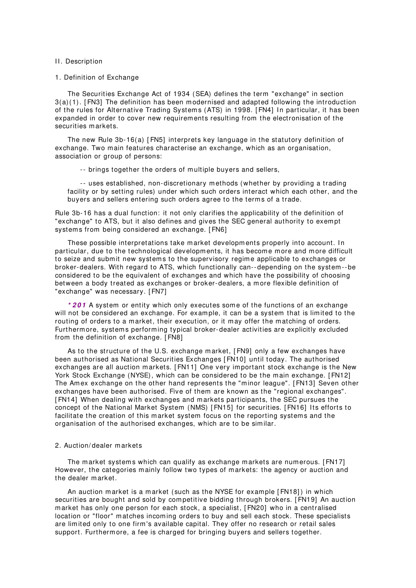#### II. Description

#### 1. Definition of Exchange

The Securities Exchange Act of 1934 (SEA) defines the term "exchange" in section 3(a)(1). [ FN3] The definition has been m odernised and adapted following the introduction of the rules for Alternative Trading System s (ATS) in 1998. [ FN4] I n particular, it has been expanded in order to cover new requirem ents resulting from the electronisation of the securities markets.

The new Rule 3b-16(a) [ FN5] interprets key language in the statutory definition of exchange. Two main features characterise an exchange, which as an organisation, association or group of persons:

-- brings together the orders of m ultiple buyers and sellers,

-- uses established, non-discretionary m ethods (whether by providing a trading facility or by setting rules) under which such orders interact which each other, and the buyers and sellers entering such orders agree to the terms of a trade.

Rule 3b-16 has a dual function: it not only clarifies the applicability of the definition of "exchange" to ATS, but it also defines and gives the SEC general authority to exem pt systems from being considered an exchange. [FN6]

These possible interpretations take market developments properly into account. In particular, due to the technological developments, it has become more and more difficult to seize and submit new systems to the supervisory regime applicable to exchanges or broker-dealers. With regard to ATS, which functionally can--depending on the system --be considered to be the equivalent of exchanges and which have the possibility of choosing between a body treated as exchanges or broker-dealers, a m ore flexible definition of "exchange" was necessary. [ FN7]

**\* 2 0 1** A system or entity which only executes som e of the functions of an exchange will not be considered an exchange. For example, it can be a system that is limited to the routing of orders to a market, their execution, or it may offer the matching of orders. Furtherm ore, system s perform ing typical broker-dealer activities are explicitly excluded from the definition of exchange. [ FN8]

As to the structure of the U.S. exchange market, [FN9] only a few exchanges have been authorised as National Securities Exchanges [ FN10] until today. The authorised exchanges are all auction markets. [FN11] One very important stock exchange is the New York Stock Exchange (NYSE), which can be considered to be the main exchange. [FN12] The Amex exchange on the other hand represents the "minor league". [FN13] Seven other exchanges have been authorised. Five of them are known as the "regional exchanges". [ FN14] When dealing with exchanges and m arkets participants, the SEC pursues the concept of the National Market System (NMS) [FN15] for securities. [FN16] Its efforts to facilitate the creation of this market system focus on the reporting systems and the organisation of the authorised exchanges, which are to be sim ilar.

## 2. Auction/ dealer m arkets

The market systems which can qualify as exchange markets are numerous. [FN17] However, the categories mainly follow two types of markets: the agency or auction and the dealer m arket.

An auction market is a market (such as the NYSE for example [FN18]) in which securities are bought and sold by competitive bidding through brokers. [FN19] An auction m arket has only one person for each stock, a specialist, [ FN20] who in a centralised location or "floor" matches incoming orders to buy and sell each stock. These specialists are lim ited only to one firm 's available capital. They offer no research or retail sales support. Furtherm ore, a fee is charged for bringing buyers and sellers together.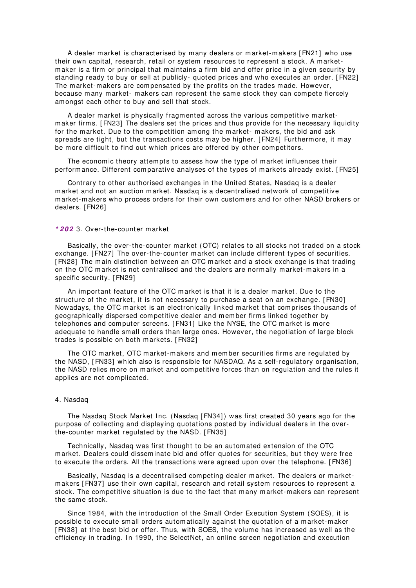A dealer m arket is characterised by m any dealers or m arket-m akers [ FN21] who use their own capital, research, retail or system resources to represent a stock. A m arketm aker is a firm or principal that m aintains a firm bid and offer price in a given security by standing ready to buy or sell at publicly- quoted prices and who executes an order. [ FN22] The market-makers are compensated by the profits on the trades made. However, because many market- makers can represent the same stock they can compete fiercely am ongst each other to buy and sell that stock.

A dealer m arket is physically fragm ented across the various com petitive m arketm aker firm s. [ FN23] The dealers set the prices and thus provide for the necessary liquidity for the market. Due to the competition among the market- makers, the bid and ask spreads are tight, but the transactions costs may be higher. [FN24] Furthermore, it may be more difficult to find out which prices are offered by other competitors.

The economic theory attempts to assess how the type of market influences their perform ance. Different comparative analyses of the types of markets already exist. [FN25]

Contrary to other authorised exchanges in the United States, Nasdaq is a dealer m arket and not an auction m arket. Nasdaq is a decentralised network of com petitive m arket-m akers who process orders for their own custom ers and for other NASD brokers or dealers. [ FN26]

#### **\* 2 0 2** 3. Over-the-counter m arket

Basically, the over-the- counter m arket (OTC) relates to all stocks not traded on a stock exchange. [ FN27] The over-the- counter m arket can include different types of securities. [ FN28] The m ain distinction between an OTC m arket and a stock exchange is that trading on the OTC m arket is not centralised and the dealers are norm ally m arket-m akers in a specific security. [ FN29]

An im portant feature of the OTC m arket is that it is a dealer m arket. Due to the structure of the m arket, it is not necessary to purchase a seat on an exchange. [ FN30] Nowadays, the OTC m arket is an electronically linked m arket that com prises thousands of geographically dispersed com petitive dealer and m em ber firm s linked together by telephones and com puter screens. [ FN31] Like the NYSE, the OTC m arket is m ore adequate to handle sm all orders than large ones. However, the negotiation of large block trades is possible on both markets. [FN32]

The OTC market, OTC market-makers and member securities firms are regulated by the NASD, [ FN33] which also is responsible for NASDAQ. As a self-regulatory organisation, the NASD relies more on market and competitive forces than on regulation and the rules it applies are not complicated.

#### 4. Nasdaq

The Nasdaq Stock Market Inc. (Nasdaq [FN34]) was first created 30 years ago for the purpose of collecting and displaying quotations posted by individual dealers in the overthe-counter market regulated by the NASD. [FN35]

Technically, Nasdaq was first thought to be an autom ated extension of the OTC m arket. Dealers could dissem inate bid and offer quotes for securities, but they were free to execute the orders. All the transactions were agreed upon over the telephone. [ FN36]

Basically, Nasdaq is a decentralised com peting dealer m arket. The dealers or m arketm akers [ FN37] use their own capital, research and retail system resources to represent a stock. The competitive situation is due to the fact that many market-makers can represent the same stock.

Since 1984, with the introduction of the Sm all Order Execution System (SOES), it is possible to execute sm all orders autom atically against the quotation of a m arket-m aker [FN38] at the best bid or offer. Thus, with SOES, the volume has increased as well as the efficiency in trading. In 1990, the SelectNet, an online screen negotiation and execution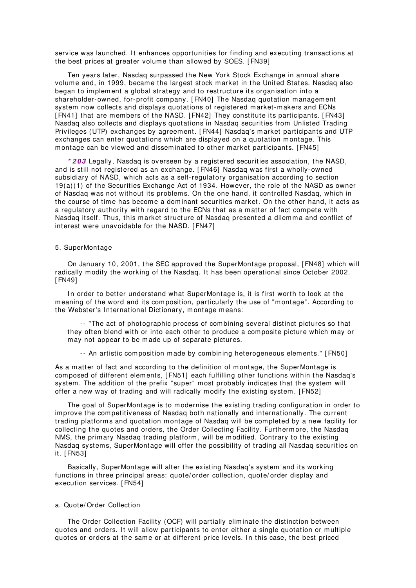service was launched. It enhances opportunities for finding and executing transactions at the best prices at greater volume than allowed by SOES. [FN39]

Ten years later, Nasdaq surpassed the New York Stock Exchange in annual share volume and, in 1999, became the largest stock market in the United States. Nasdaq also began to im plem ent a global strategy and to restructure its organisation into a shareholder-owned, for-profit company. [FN40] The Nasdaq quotation management system now collects and displays quotations of registered m arket-m akers and ECNs [FN41] that are members of the NASD. [FN42] They constitute its participants. [FN43] Nasdaq also collects and displays quotations in Nasdaq securities from Unlisted Trading Privileges (UTP) exchanges by agreem ent. [ FN44] Nasdaq's m arket participants and UTP exchanges can enter quotations which are displayed on a quotation montage. This m ontage can be viewed and dissem inated to other m arket participants. [ FN45]

**\* 2 0 3** Legally, Nasdaq is overseen by a registered securities association, the NASD, and is still not registered as an exchange. [ FN46] Nasdaq was first a wholly-owned subsidiary of NASD, which acts as a self-regulatory organisation according to section 19(a)(1) of the Securities Exchange Act of 1934. However, the role of the NASD as owner of Nasdaq was not without its problem s. On the one hand, it controlled Nasdaq, which in the course of time has become a dominant securities market. On the other hand, it acts as a regulatory authority with regard to the ECNs that as a m atter of fact com pete with Nasdaq itself. Thus, this market structure of Nasdaq presented a dilemma and conflict of interest were unavoidable for the NASD. [ FN47]

## 5. SuperMontage

On January 10, 2001, the SEC approved the SuperMontage proposal, [ FN48] which will radically modify the working of the Nasdag. It has been operational since October 2002. [ FN49]

In order to better understand what SuperMontage is, it is first worth to look at the m eaning of the word and its com position, particularly the use of "m ontage". According to the Webster's International Dictionary, montage means:

-- "The act of photographic process of com bining several distinct pictures so that they often blend with or into each other to produce a com posite picture which m ay or m ay not appear to be m ade up of separate pictures.

-- An artistic com position m ade by com bining heterogeneous elem ents." [ FN50]

As a m atter of fact and according to the definition of m ontage, the SuperMontage is com posed of different elem ents, [ FN51] each fulfilling other functions within the Nasdaq's system . The addition of the prefix "super" m ost probably indicates that the system will offer a new way of trading and will radically m odify the existing system . [ FN52]

The goal of SuperMontage is to m odernise the existing trading configuration in order to im prove the com petitiveness of Nasdaq both nationally and internationally. The current trading platform s and quotation m ontage of Nasdaq will be com pleted by a new facility for collecting the quotes and orders, the Order Collecting Facility. Furtherm ore, the Nasdaq NMS, the prim ary Nasdaq trading platform , will be m odified. Contrary to the existing Nasdaq system s, SuperMontage will offer the possibility of trading all Nasdaq securities on it. [ FN53]

Basically, SuperMontage will alter the existing Nasdaq's system and its working functions in three principal areas: quote/ order collection, quote/ order display and execution services. [ FN54]

# a. Quote/ Order Collection

The Order Collection Facility (OCF) will partially elim inate the distinction between quotes and orders. It will allow participants to enter either a single quotation or multiple quotes or orders at the same or at different price levels. In this case, the best priced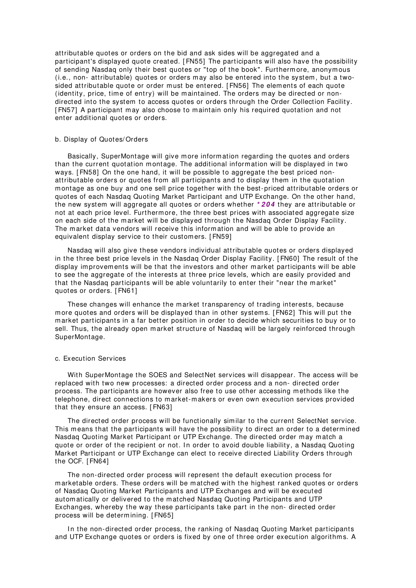attributable quotes or orders on the bid and ask sides will be aggregated and a participant's displayed quote created. [ FN55] The participants will also have the possibility of sending Nasdaq only their best quotes or "top of the book". Furtherm ore, anonym ous (i.e., non- attributable) quotes or orders m ay also be entered into the system , but a twosided attributable quote or order must be entered. [FN56] The elements of each quote (identity, price, time of entry) will be maintained. The orders may be directed or nondirected into the system to access quotes or orders through the Order Collection Facility. [ FN57] A participant m ay also choose to m aintain only his required quotation and not enter additional quotes or orders.

## b. Display of Quotes/ Orders

Basically, SuperMontage will give m ore inform ation regarding the quotes and orders than the current quotation m ontage. The additional inform ation will be displayed in two ways. [ FN58] On the one hand, it will be possible to aggregate the best priced nonattributable orders or quotes from all participants and to display them in the quotation m ontage as one buy and one sell price together with the best-priced attributable orders or quotes of each Nasdaq Quoting Market Participant and UTP Exchange. On the other hand, the new system will aggregate all quotes or orders whether **\* 2 0 4** they are attributable or not at each price level. Furtherm ore, the three best prices with associated aggregate size on each side of the market will be displayed through the Nasdaq Order Display Facility. The m arket data vendors will receive this inform ation and will be able to provide an equivalent display service to their custom ers. [ FN59]

Nasdaq will also give these vendors individual attributable quotes or orders displayed in the three best price levels in the Nasdaq Order Display Facility. [ FN60] The result of the display im provem ents will be that the investors and other m arket participants will be able to see the aggregate of the interests at three price levels, which are easily provided and that the Nasdaq participants will be able voluntarily to enter their "near the market" quotes or orders. [ FN61]

These changes will enhance the market transparency of trading interests, because m ore quotes and orders will be displayed than in other system s. [ FN62] This will put the m arket participants in a far better position in order to decide which securities to buy or to sell. Thus, the already open market structure of Nasdaq will be largely reinforced through SuperMontage.

## c. Execution Services

With SuperMontage the SOES and SelectNet services will disappear. The access will be replaced with two new processes: a directed order process and a non- directed order process. The participants are however also free to use other accessing m ethods like the telephone, direct connections to market-makers or even own execution services provided that they ensure an access. [ FN63]

The directed order process will be functionally sim ilar to the current SelectNet service. This means that the participants will have the possibility to direct an order to a determined Nasdaq Quoting Market Participant or UTP Exchange. The directed order m ay m atch a quote or order of the recipient or not. In order to avoid double liability, a Nasdaq Quoting Market Participant or UTP Exchange can elect to receive directed Liability Orders through the OCF. [ FN64]

The non-directed order process will represent the default execution process for m arketable orders. These orders will be m atched with the highest ranked quotes or orders of Nasdaq Quoting Market Participants and UTP Exchanges and will be executed autom atically or delivered to the m atched Nasdaq Quoting Participants and UTP Exchanges, whereby the way these participants take part in the non- directed order process will be determining. [FN65]

In the non-directed order process, the ranking of Nasdaq Quoting Market participants and UTP Exchange quotes or orders is fixed by one of three order execution algorithm s. A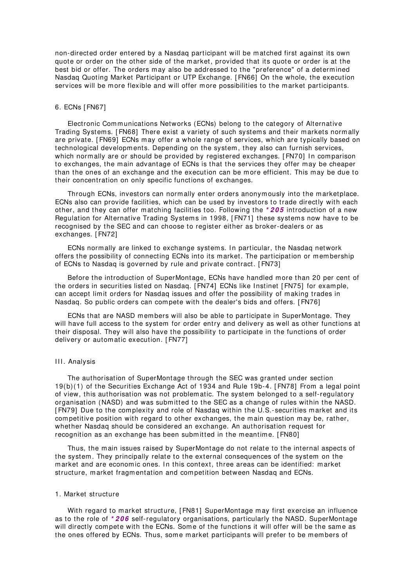non-directed order entered by a Nasdaq participant will be m atched first against its own quote or order on the other side of the market, provided that its quote or order is at the best bid or offer. The orders may also be addressed to the "preference" of a determined Nasdaq Quoting Market Participant or UTP Exchange. [ FN66] On the whole, the execution services will be more flexible and will offer more possibilities to the market participants.

# 6. ECNs [ FN67]

Electronic Communications Networks (ECNs) belong to the category of Alternative Trading Systems. [FN68] There exist a variety of such systems and their markets normally are private. [ FN69] ECNs m ay offer a whole range of services, which are typically based on technological developm ents. Depending on the system , they also can furnish services, which normally are or should be provided by registered exchanges. [FN70] In comparison to exchanges, the m ain advantage of ECNs is that the services they offer m ay be cheaper than the ones of an exchange and the execution can be more efficient. This may be due to their concentration on only specific functions of exchanges.

Through ECNs, investors can norm ally enter orders anonym ously into the m arketplace. ECNs also can provide facilities, which can be used by investors to trade directly with each other, and they can offer m atching facilities too. Following the **\* 2 0 5** introduction of a new Regulation for Alternative Trading Systems in 1998, [FN71] these systems now have to be recognised by the SEC and can choose to register either as broker-dealers or as exchanges. [ FN72]

ECNs normally are linked to exchange systems. In particular, the Nasdaq network offers the possibility of connecting ECNs into its market. The participation or membership of ECNs to Nasdaq is governed by rule and private contract. [ FN73]

Before the introduction of SuperMontage, ECNs have handled more than 20 per cent of the orders in securities listed on Nasdaq. [ FN74] ECNs like I nstinet [ FN75] for exam ple, can accept lim it orders for Nasdaq issues and offer the possibility of m aking trades in Nasdaq. So public orders can com pete with the dealer's bids and offers. [ FN76]

ECNs that are NASD members will also be able to participate in SuperMontage. They will have full access to the system for order entry and delivery as well as other functions at their disposal. They will also have the possibility to participate in the functions of order delivery or autom atic execution. [ FN77]

## III. Analysis

The authorisation of SuperMontage through the SEC was granted under section 19(b)(1) of the Securities Exchange Act of 1934 and Rule 19b-4. [ FN78] From a legal point of view, this authorisation was not problem atic. The system belonged to a self-regulatory organisation (NASD) and was subm itted to the SEC as a change of rules within the NASD. [FN79] Due to the complexity and role of Nasdaq within the U.S.-securities market and its competitive position with regard to other exchanges, the main question may be, rather, whether Nasdaq should be considered an exchange. An authorisation request for recognition as an exchange has been submitted in the meantime. [FN80]

Thus, the m ain issues raised by SuperMontage do not relate to the internal aspects of the system . They principally relate to the external consequences of the system on the market and are economic ones. In this context, three areas can be identified: market structure, m arket fragm entation and com petition between Nasdaq and ECNs.

## 1. Market structure

With regard to market structure, [FN81] SuperMontage may first exercise an influence as to the role of **\* 2 0 6** self-regulatory organisations, particularly the NASD. SuperMontage will directly compete with the ECNs. Some of the functions it will offer will be the same as the ones offered by ECNs. Thus, some market participants will prefer to be members of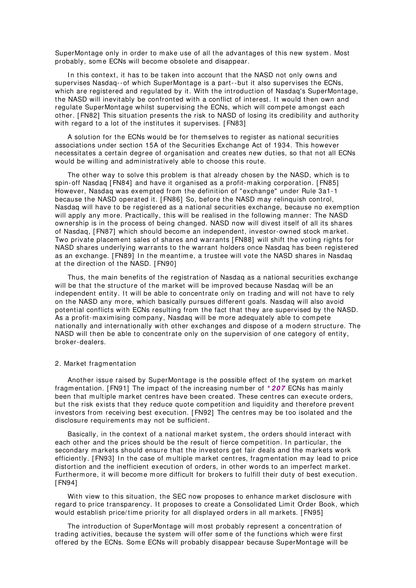SuperMontage only in order to make use of all the advantages of this new system. Most probably, som e ECNs will becom e obsolete and disappear.

In this context, it has to be taken into account that the NASD not only owns and supervises Nasdaq--of which SuperMontage is a part--but it also supervises the ECNs, which are registered and regulated by it. With the introduction of Nasdaq's SuperMontage, the NASD will inevitably be confronted with a conflict of interest. It would then own and regulate SuperMontage whilst supervising the ECNs, which will com pete am ongst each other. [ FN82] This situation presents the risk to NASD of losing its credibility and authority with regard to a lot of the institutes it supervises. [FN83]

A solution for the ECNs would be for them selves to register as national securities associations under section 15A of the Securities Exchange Act of 1934. This however necessitates a certain degree of organisation and creates new duties, so that not all ECNs would be willing and administratively able to choose this route.

The other way to solve this problem is that already chosen by the NASD, which is to spin-off Nasdaq [ FN84] and have it organised as a profit-m aking corporation. [ FN85] However, Nasdaq was exem pted from the definition of "exchange" under Rule 3a1-1 because the NASD operated it. [ FN86] So, before the NASD m ay relinquish control, Nasdaq will have to be registered as a national securities exchange, because no exem ption will apply any more. Practically, this will be realised in the following manner: The NASD ownership is in the process of being changed. NASD now will divest itself of all its shares of Nasdaq, [ FN87] which should becom e an independent, investor-owned stock m arket. Two private placem ent sales of shares and warrants [ FN88] will shift the voting rights for NASD shares underlying warrants to the warrant holders once Nasdaq has been registered as an exchange. [FN89] In the meantime, a trustee will vote the NASD shares in Nasdaq at the direction of the NASD. [ FN90]

Thus, the m ain benefits of the registration of Nasdaq as a national securities exchange will be that the structure of the m arket will be im proved because Nasdaq will be an independent entity. It will be able to concentrate only on trading and will not have to rely on the NASD any m ore, which basically pursues different goals. Nasdaq will also avoid potential conflicts with ECNs resulting from the fact that they are supervised by the NASD. As a profit-m axim ising com pany, Nasdaq will be m ore adequately able to com pete nationally and internationally with other exchanges and dispose of a m odern structure. The NASD will then be able to concentrate only on the supervision of one category of entity, broker-dealers.

#### 2. Market fragm entation

Another issue raised by SuperMontage is the possible effect of the system on market fragm entation. [ FN91] The im pact of the increasing num ber of **\* 2 0 7** ECNs has m ainly been that multiple market centres have been created. These centres can execute orders, but the risk exists that they reduce quote com petition and liquidity and therefore prevent investors from receiving best execution. [ FN92] The centres m ay be too isolated and the disclosure requirem ents m ay not be sufficient.

Basically, in the context of a national m arket system , the orders should interact with each other and the prices should be the result of fierce competition. In particular, the secondary markets should ensure that the investors get fair deals and the markets work efficiently. [FN93] In the case of multiple market centres, fragmentation may lead to price distortion and the inefficient execution of orders, in other words to an im perfect m arket. Furthermore, it will become more difficult for brokers to fulfill their duty of best execution. [ FN94]

With view to this situation, the SEC now proposes to enhance market disclosure with regard to price transparency. It proposes to create a Consolidated Limit Order Book, which would establish price/time priority for all displayed orders in all markets. [FN95]

The introduction of SuperMontage will most probably represent a concentration of trading activities, because the system will offer some of the functions which were first offered by the ECNs. Some ECNs will probably disappear because SuperMontage will be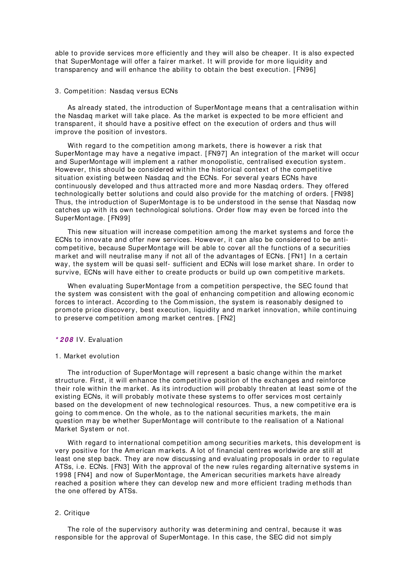able to provide services more efficiently and they will also be cheaper. It is also expected that SuperMontage will offer a fairer market. It will provide for more liquidity and transparency and will enhance the ability to obtain the best execution. [ FN96]

## 3. Com petition: Nasdaq versus ECNs

As already stated, the introduction of SuperMontage means that a centralisation within the Nasdaq m arket will take place. As the m arket is expected to be m ore efficient and transparent, it should have a positive effect on the execution of orders and thus will im prove the position of investors.

With regard to the competition among markets, there is however a risk that SuperMontage m ay have a negative im pact. [ FN97] An integration of the m arket will occur and SuperMontage will implement a rather monopolistic, centralised execution system. However, this should be considered within the historical context of the com petitive situation existing between Nasdaq and the ECNs. For several years ECNs have continuously developed and thus attracted m ore and m ore Nasdaq orders. They offered technologically better solutions and could also provide for the m atching of orders. [ FN98] Thus, the introduction of SuperMontage is to be understood in the sense that Nasdaq now catches up with its own technological solutions. Order flow m ay even be forced into the SuperMontage. [ FN99]

This new situation will increase competition among the market systems and force the ECNs to innovate and offer new services. However, it can also be considered to be anticom petitive, because SuperMontage will be able to cover all the functions of a securities market and will neutralise many if not all of the advantages of ECNs. [FN1] In a certain way, the system will be quasi self- sufficient and ECNs will lose market share. In order to survive, ECNs will have either to create products or build up own competitive markets.

When evaluating SuperMontage from a competition perspective, the SEC found that the system was consistent with the goal of enhancing com petition and allowing econom ic forces to interact. According to the Commission, the system is reasonably designed to prom ote price discovery, best execution, liquidity and m arket innovation, while continuing to preserve competition among market centres. [FN2]

## **\* 2 0 8** IV. Evaluation

#### 1. Market evolution

The introduction of SuperMontage will represent a basic change within the market structure. First, it will enhance the com petitive position of the exchanges and reinforce their role within the market. As its introduction will probably threaten at least some of the existing ECNs, it will probably motivate these systems to offer services most certainly based on the developm ent of new technological resources. Thus, a new com petitive era is going to commence. On the whole, as to the national securities markets, the main question m ay be whether SuperMontage will contribute to the realisation of a National Market System or not.

With regard to international competition among securities markets, this development is very positive for the Am erican m arkets. A lot of financial centres worldwide are still at least one step back. They are now discussing and evaluating proposals in order to regulate ATSs, i.e. ECNs. [ FN3] With the approval of the new rules regarding alternative system s in 1998 [ FN4] and now of SuperMontage, the Am erican securities m arkets have already reached a position where they can develop new and more efficient trading methods than the one offered by ATSs.

### 2. Critique

The role of the supervisory authority was determ ining and central, because it was responsible for the approval of SuperMontage. In this case, the SEC did not simply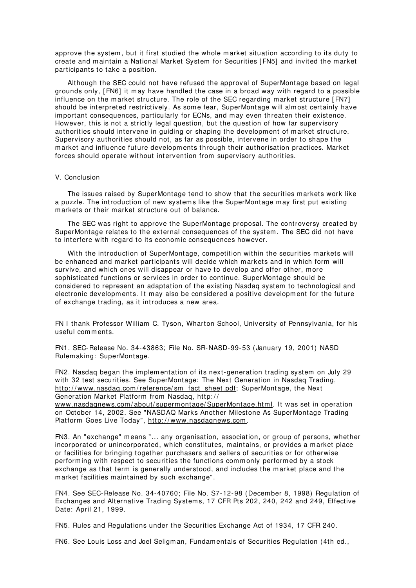approve the system , but it first studied the whole m arket situation according to its duty to create and m aintain a National Market System for Securities [ FN5] and invited the m arket participants to take a position.

Although the SEC could not have refused the approval of SuperMontage based on legal grounds only, [ FN6] it m ay have handled the case in a broad way with regard to a possible influence on the market structure. The role of the SEC regarding market structure [FN7] should be interpreted restrictively. As some fear, SuperMontage will almost certainly have im portant consequences, particularly for ECNs, and m ay even threaten their existence. However, this is not a strictly legal question, but the question of how far supervisory authorities should intervene in guiding or shaping the developm ent of m arket structure. Supervisory authorities should not, as far as possible, intervene in order to shape the m arket and influence future developm ents through their authorisation practices. Market forces should operate without intervention from supervisory authorities.

# V. Conclusion

The issues raised by SuperMontage tend to show that the securities m arkets work like a puzzle. The introduction of new systems like the SuperMontage may first put existing m arkets or their m arket structure out of balance.

The SEC was right to approve the SuperMontage proposal. The controversy created by SuperMontage relates to the external consequences of the system . The SEC did not have to interfere with regard to its econom ic consequences however.

With the introduction of SuperMontage, competition within the securities markets will be enhanced and market participants will decide which markets and in which form will survive, and which ones will disappear or have to develop and offer other, m ore sophisticated functions or services in order to continue. SuperMontage should be considered to represent an adaptation of the existing Nasdaq system to technological and electronic developments. It may also be considered a positive development for the future of exchange trading, as it introduces a new area.

FN I thank Professor William C. Tyson, Wharton School, University of Pennsylvania, for his useful com m ents.

FN1. SEC-Release No. 34-43863; File No. SR-NASD-99-53 (January 19, 2001) NASD Rulem aking: SuperMontage.

FN2. Nasdaq began the implementation of its next-generation trading system on July 29 with 32 test securities. See SuperMontage: The Next Generation in Nasdaq Trading, http://www.nasdaq.com/reference/sm\_fact\_sheet.pdf; SuperMontage, the Next Generation Market Platform from Nasdaq, http://

www.nasdagnews.com/about/superm ontage/SuperMontage.html. It was set in operation on October 14, 2002. See "NASDAQ Marks Another Milestone As SuperMontage Trading Platform Goes Live Today", http://www.nasdaqnews.com.

FN3. An "exchange" m eans "... any organisation, association, or group of persons, whether incorporated or unincorporated, which constitutes, m aintains, or provides a m arket place or facilities for bringing together purchasers and sellers of securities or for otherwise perform ing with respect to securities the functions com m only perform ed by a stock exchange as that term is generally understood, and includes the m arket place and the m arket facilities m aintained by such exchange".

FN4. See SEC-Release No. 34-40760; File No. S7-12-98 (Decem ber 8, 1998) Regulation of Exchanges and Alternative Trading System s, 17 CFR Pts 202, 240, 242 and 249, Effective Date: April 21, 1999.

FN5. Rules and Regulations under the Securities Exchange Act of 1934, 17 CFR 240.

FN6. See Louis Loss and Joel Seligm an, Fundam entals of Securities Regulation (4th ed.,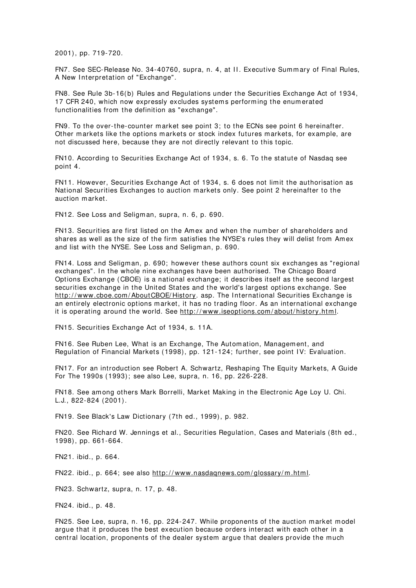2001), pp. 719-720.

FN7. See SEC-Release No. 34-40760, supra, n. 4, at II. Executive Summary of Final Rules, A New Interpretation of "Exchange".

FN8. See Rule 3b-16(b) Rules and Regulations under the Securities Exchange Act of 1934, 17 CFR 240, which now expressly excludes system s perform ing the enum erated functionalities from the definition as "exchange".

FN9. To the over-the- counter m arket see point 3; to the ECNs see point 6 hereinafter. Other markets like the options markets or stock index futures markets, for example, are not discussed here, because they are not directly relevant to this topic.

FN10. According to Securities Exchange Act of 1934, s. 6. To the statute of Nasdaq see point 4.

FN11. However, Securities Exchange Act of 1934, s. 6 does not limit the authorisation as National Securities Exchanges to auction m arkets only. See point 2 hereinafter to the auction m arket.

FN12. See Loss and Seligm an, supra, n. 6, p. 690.

FN13. Securities are first listed on the Am ex and when the num ber of shareholders and shares as well as the size of the firm satisfies the NYSE's rules they will delist from Am ex and list with the NYSE. See Loss and Seligman, p. 690.

FN14. Loss and Seligm an, p. 690; however these authors count six exchanges as "regional exchanges". In the whole nine exchanges have been authorised. The Chicago Board Options Exchange (CBOE) is a national exchange; it describes itself as the second largest securities exchange in the United States and the world's largest options exchange. See http://www.cboe.com/AboutCBOE/History. asp. The International Securities Exchange is an entirely electronic options m arket, it has no trading floor. As an international exchange it is operating around the world. See http://www.iseoptions.com/about/history.html.

FN15. Securities Exchange Act of 1934, s. 11A.

FN16. See Ruben Lee, What is an Exchange, The Autom ation, Managem ent, and Regulation of Financial Markets (1998), pp. 121-124; further, see point IV: Evaluation.

FN17. For an introduction see Robert A. Schwartz, Reshaping The Equity Markets, A Guide For The 1990s (1993); see also Lee, supra, n. 16, pp. 226-228.

FN18. See am ong others Mark Borrelli, Market Making in the Electronic Age Loy U. Chi. L.J., 822-824 (2001).

FN19. See Black's Law Dictionary (7th ed., 1999), p. 982.

FN20. See Richard W. Jennings et al., Securities Regulation, Cases and Materials (8th ed., 1998), pp. 661-664.

FN21. ibid., p. 664.

FN22. ibid., p. 664; see also http://www.nasdaqnews.com/glossary/m.html.

FN23. Schwartz, supra, n. 17, p. 48.

FN24. ibid., p. 48.

FN25. See Lee, supra, n. 16, pp. 224-247. While proponents of the auction market model argue that it produces the best execution because orders interact with each other in a central location, proponents of the dealer system argue that dealers provide the much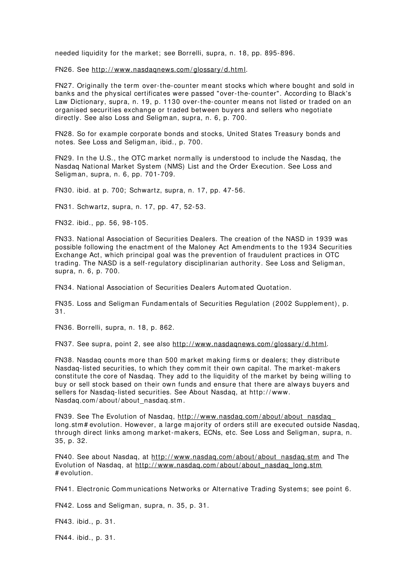needed liquidity for the m arket; see Borrelli, supra, n. 18, pp. 895-896.

FN26. See http://www.nasdaqnews.com/glossary/d.html.

FN27. Originally the term over-the-counter meant stocks which where bought and sold in banks and the physical certificates were passed "over-the-counter". According to Black's Law Dictionary, supra, n. 19, p. 1130 over-the- counter m eans not listed or traded on an organised securities exchange or traded between buyers and sellers who negotiate directly. See also Loss and Seligman, supra, n. 6, p. 700.

FN28. So for exam ple corporate bonds and stocks, United States Treasury bonds and notes. See Loss and Seligm an, ibid., p. 700.

FN29. In the U.S., the OTC market normally is understood to include the Nasdaq, the Nasdaq National Market System (NMS) List and the Order Execution. See Loss and Seligm an, supra, n. 6, pp. 701-709.

FN30. ibid. at p. 700; Schwartz, supra, n. 17, pp. 47-56.

FN31. Schwartz, supra, n. 17, pp. 47, 52-53.

FN32. ibid., pp. 56, 98-105.

FN33. National Association of Securities Dealers. The creation of the NASD in 1939 was possible following the enactm ent of the Maloney Act Am endm ents to the 1934 Securities Exchange Act, which principal goal was the prevention of fraudulent practices in OTC trading. The NASD is a self-regulatory disciplinarian authority. See Loss and Seligm an, supra, n. 6, p. 700.

FN34. National Association of Securities Dealers Autom ated Quotation.

FN35. Loss and Seligm an Fundam entals of Securities Regulation (2002 Supplem ent), p. 31.

FN36. Borrelli, supra, n. 18, p. 862.

FN37. See supra, point 2, see also http://www.nasdagnews.com/glossary/d.html.

FN38. Nasdaq counts m ore than 500 m arket m aking firm s or dealers; they distribute Nasdaq-listed securities, to which they commit their own capital. The market-makers constitute the core of Nasdaq. They add to the liquidity of the m arket by being willing to buy or sell stock based on their own funds and ensure that there are always buyers and sellers for Nasdaq-listed securities. See About Nasdaq, at http://www. Nasdaq.com/about/about\_nasdaq.stm.

FN39. See The Evolution of Nasdaq, http://www.nasdaq.com/about/about\_nasdaq\_ long.stm# evolution. However, a large majority of orders still are executed outside Nasdaq, through direct links among market-makers, ECNs, etc. See Loss and Seligman, supra, n. 35, p. 32.

FN40. See about Nasdaq, at http://www.nasdaq.com/about/about\_nasdaq.stm and The Evolution of Nasdaq, at http://www.nasdag.com/about/about\_nasdaq\_long.stm # evolution.

FN41. Electronic Communications Networks or Alternative Trading Systems; see point 6.

FN42. Loss and Seligm an, supra, n. 35, p. 31.

FN43. ibid., p. 31.

FN44. ibid., p. 31.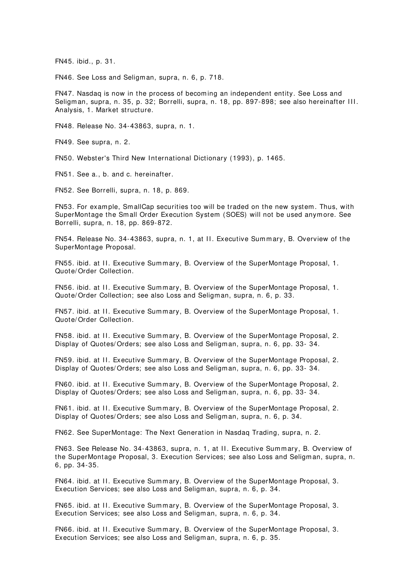FN45. ibid., p. 31.

FN46. See Loss and Seligm an, supra, n. 6, p. 718.

FN47. Nasdaq is now in the process of becom ing an independent entity. See Loss and Seligman, supra, n. 35, p. 32; Borrelli, supra, n. 18, pp. 897-898; see also hereinafter III. Analysis, 1. Market structure.

FN48. Release No. 34-43863, supra, n. 1.

FN49. See supra, n. 2.

FN50. Webster's Third New International Dictionary (1993), p. 1465.

FN51. See a., b. and c. hereinafter.

FN52. See Borrelli, supra, n. 18, p. 869.

FN53. For example, SmallCap securities too will be traded on the new system. Thus, with SuperMontage the Sm all Order Execution System (SOES) will not be used anym ore. See Borrelli, supra, n. 18, pp. 869-872.

FN54. Release No. 34-43863, supra, n. 1, at II. Executive Summary, B. Overview of the SuperMontage Proposal.

FN55. ibid. at II. Executive Summary, B. Overview of the SuperMontage Proposal, 1. Quote/ Order Collection.

FN56. ibid. at II. Executive Summary, B. Overview of the SuperMontage Proposal, 1. Quote/ Order Collection; see also Loss and Seligman, supra, n. 6, p. 33.

FN57. ibid. at II. Executive Summary, B. Overview of the SuperMontage Proposal, 1. Quote/ Order Collection.

FN58. ibid. at II. Executive Summary, B. Overview of the SuperMontage Proposal, 2. Display of Quotes/ Orders; see also Loss and Seligm an, supra, n. 6, pp. 33- 34.

FN59. ibid. at II. Executive Summary, B. Overview of the SuperMontage Proposal, 2. Display of Quotes/ Orders; see also Loss and Seligm an, supra, n. 6, pp. 33- 34.

FN60. ibid. at II. Executive Summary, B. Overview of the SuperMontage Proposal, 2. Display of Quotes/ Orders; see also Loss and Seligm an, supra, n. 6, pp. 33- 34.

FN61. ibid. at II. Executive Summary, B. Overview of the SuperMontage Proposal, 2. Display of Quotes/ Orders; see also Loss and Seligm an, supra, n. 6, p. 34.

FN62. See SuperMontage: The Next Generation in Nasdaq Trading, supra, n. 2.

FN63. See Release No. 34-43863, supra, n. 1, at II. Executive Summary, B. Overview of the SuperMontage Proposal, 3. Execution Services; see also Loss and Seligman, supra, n. 6, pp. 34-35.

FN64. ibid. at II. Executive Summary, B. Overview of the SuperMontage Proposal, 3. Execution Services; see also Loss and Seligman, supra, n. 6, p. 34.

FN65. ibid. at II. Executive Summary, B. Overview of the SuperMontage Proposal, 3. Execution Services; see also Loss and Seligman, supra, n. 6, p. 34.

FN66. ibid. at II. Executive Summary, B. Overview of the SuperMontage Proposal, 3. Execution Services; see also Loss and Seligman, supra, n. 6, p. 35.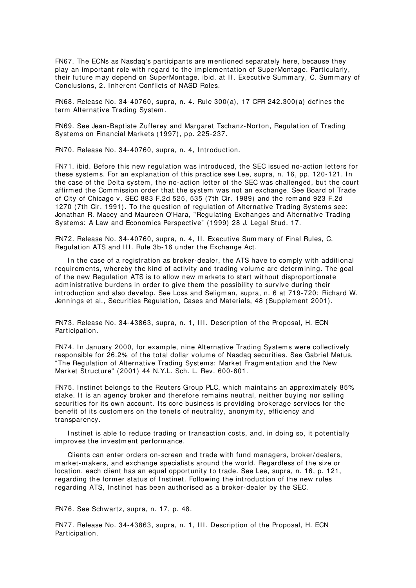FN67. The ECNs as Nasdaq's participants are m entioned separately here, because they play an im portant role with regard to the im plem entation of SuperMontage. Particularly, their future may depend on SuperMontage. ibid. at II. Executive Summary, C. Summary of Conclusions, 2. I nherent Conflicts of NASD Roles.

FN68. Release No. 34-40760, supra, n. 4. Rule 300(a), 17 CFR 242.300(a) defines the term Alternative Trading System .

FN69. See Jean-Baptiste Zufferey and Margaret Tschanz-Norton, Regulation of Trading Systems on Financial Markets (1997), pp. 225-237.

FN70. Release No. 34-40760, supra, n. 4, Introduction.

FN71. ibid. Before this new regulation was introduced, the SEC issued no-action letters for these systems. For an explanation of this practice see Lee, supra, n. 16, pp. 120-121. In the case of the Delta system , the no-action letter of the SEC was challenged, but the court affirmed the Commission order that the system was not an exchange. See Board of Trade of City of Chicago v. SEC 883 F.2d 525, 535 (7th Cir. 1989) and the rem and 923 F.2d 1270 (7th Cir. 1991). To the question of regulation of Alternative Trading Systems see: Jonathan R. Macey and Maureen O'Hara, "Regulating Exchanges and Alternative Trading System s: A Law and Econom ics Perspective" (1999) 28 J. Legal Stud. 17.

FN72. Release No. 34-40760, supra, n. 4, II. Executive Summary of Final Rules, C. Regulation ATS and III. Rule 3b-16 under the Exchange Act.

In the case of a registration as broker-dealer, the ATS have to comply with additional requirem ents, whereby the kind of activity and trading volum e are determ ining. The goal of the new Regulation ATS is to allow new m arkets to start without disproportionate adm inistrative burdens in order to give them the possibility to survive during their introduction and also develop. See Loss and Seligm an, supra, n. 6 at 719-720; Richard W. Jennings et al., Securities Regulation, Cases and Materials, 48 (Supplement 2001).

FN73. Release No. 34-43863, supra, n. 1, III. Description of the Proposal, H. ECN Participation.

FN74. In January 2000, for example, nine Alternative Trading Systems were collectively responsible for 26.2% of the total dollar volume of Nasdaq securities. See Gabriel Matus, "The Regulation of Alternative Trading System s: Market Fragm entation and the New Market Structure" (2001) 44 N.Y.L. Sch. L. Rev. 600-601.

FN75. Instinet belongs to the Reuters Group PLC, which maintains an approximately 85% stake. It is an agency broker and therefore remains neutral, neither buying nor selling securities for its own account. Its core business is providing brokerage services for the benefit of its custom ers on the tenets of neutrality, anonym ity, efficiency and transparency.

Instinet is able to reduce trading or transaction costs, and, in doing so, it potentially improves the investment performance.

Clients can enter orders on-screen and trade with fund m anagers, broker/ dealers, m arket-m akers, and exchange specialists around the world. Regardless of the size or location, each client has an equal opportunity to trade. See Lee, supra, n. 16, p. 121, regarding the former status of Instinet. Following the introduction of the new rules regarding ATS, I nstinet has been authorised as a broker-dealer by the SEC.

FN76. See Schwartz, supra, n. 17, p. 48.

FN77. Release No. 34-43863, supra, n. 1, III. Description of the Proposal, H. ECN Participation.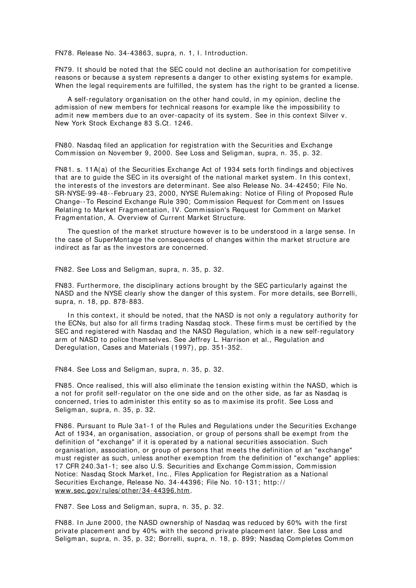FN78. Release No. 34-43863, supra, n. 1, I. Introduction.

FN79. It should be noted that the SEC could not decline an authorisation for competitive reasons or because a system represents a danger to other existing systems for example. When the legal requirem ents are fulfilled, the system has the right to be granted a license.

A self-regulatory organisation on the other hand could, in my opinion, decline the adm ission of new m em bers for technical reasons for exam ple like the im possibility to admit new members due to an over-capacity of its system. See in this context Silver v. New York Stock Exchange 83 S.Ct. 1246.

FN80. Nasdaq filed an application for registration with the Securities and Exchange Commission on November 9, 2000. See Loss and Seligman, supra, n. 35, p. 32.

FN81. s. 11A(a) of the Securities Exchange Act of 1934 sets forth findings and objectives that are to guide the SEC in its oversight of the national market system. In this context, the interests of the investors are determ inant. See also Release No. 34-42450; File No. SR-NYSE-99-48--February 23, 2000, NYSE Rulem aking: Notice of Filing of Proposed Rule Change--To Rescind Exchange Rule 390; Commission Request for Comment on Issues Relating to Market Fragmentation, IV. Commission's Request for Comment on Market Fragm entation, A. Overview of Current Market Structure.

The question of the market structure however is to be understood in a large sense. In the case of SuperMontage the consequences of changes within the m arket structure are indirect as far as the investors are concerned.

FN82. See Loss and Seligm an, supra, n. 35, p. 32.

FN83. Furtherm ore, the disciplinary actions brought by the SEC particularly against the NASD and the NYSE clearly show the danger of this system . For m ore details, see Borrelli, supra, n. 18, pp. 878-883.

In this context, it should be noted, that the NASD is not only a regulatory authority for the ECNs, but also for all firms trading Nasdaq stock. These firms must be certified by the SEC and registered with Nasdaq and the NASD Regulation, which is a new self-regulatory arm of NASD to police them selves. See Jeffrey L. Harrison et al., Regulation and Deregulation, Cases and Materials (1997), pp. 351-352.

FN84. See Loss and Seligm an, supra, n. 35, p. 32.

FN85. Once realised, this will also elim inate the tension existing within the NASD, which is a not for profit self-regulator on the one side and on the other side, as far as Nasdaq is concerned, tries to adm inister this entity so as to m axim ise its profit. See Loss and Seligm an, supra, n. 35, p. 32.

FN86. Pursuant to Rule 3a1-1 of the Rules and Regulations under the Securities Exchange Act of 1934, an organisation, association, or group of persons shall be exempt from the definition of "exchange" if it is operated by a national securities association. Such organisation, association, or group of persons that m eets the definition of an "exchange" must register as such, unless another exemption from the definition of "exchange" applies: 17 CFR 240.3a1-1; see also U.S. Securities and Exchange Commission, Commission Notice: Nasdaq Stock Market, Inc., Files Application for Registration as a National Securities Exchange, Release No. 34-44396; File No. 10-131; http:// www.sec.gov/ rules/ other/ 34-44396.htm.

FN87. See Loss and Seligm an, supra, n. 35, p. 32.

FN88. In June 2000, the NASD ownership of Nasdaq was reduced by 60% with the first private placem ent and by 40% with the second private placem ent later. See Loss and Seligman, supra, n. 35, p. 32; Borrelli, supra, n. 18, p. 899; Nasdaq Completes Common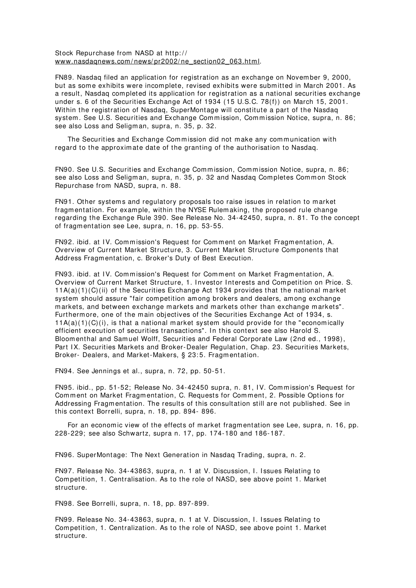Stock Repurchase from NASD at http:// www.nasdaqnews.com/news/pr2002/ne\_section02\_063.html.

FN89. Nasdaq filed an application for registration as an exchange on Novem ber 9, 2000, but as som e exhibits were incom plete, revised exhibits were subm itted in March 2001. As a result, Nasdaq com pleted its application for registration as a national securities exchange under s. 6 of the Securities Exchange Act of 1934 (15 U.S.C. 78(f)) on March 15, 2001. Within the registration of Nasdaq, SuperMontage will constitute a part of the Nasdaq system. See U.S. Securities and Exchange Commission, Commission Notice, supra, n. 86; see also Loss and Seligm an, supra, n. 35, p. 32.

The Securities and Exchange Commission did not make any communication with regard to the approxim ate date of the granting of the authorisation to Nasdaq.

FN90. See U.S. Securities and Exchange Commission, Commission Notice, supra, n. 86; see also Loss and Seligman, supra, n. 35, p. 32 and Nasdaq Completes Common Stock Repurchase from NASD, supra, n. 88.

FN91. Other systems and regulatory proposals too raise issues in relation to market fragm entation. For exam ple, within the NYSE Rulem aking, the proposed rule change regarding the Exchange Rule 390. See Release No. 34-42450, supra, n. 81. To the concept of fragm entation see Lee, supra, n. 16, pp. 53-55.

FN92. ibid. at IV. Commission's Request for Comment on Market Fragmentation, A. Overview of Current Market Structure, 3. Current Market Structure Com ponents that Address Fragm entation, c. Broker's Duty of Best Execution.

FN93. ibid. at IV. Commission's Request for Comment on Market Fragmentation, A. Overview of Current Market Structure, 1. I nvestor I nterests and Com petition on Price. S.  $11A(a)(1)(C(ii))$  of the Securities Exchange Act 1934 provides that the national market system should assure "fair com petition am ong brokers and dealers, am ong exchange m arkets, and between exchange markets and markets other than exchange markets". Furtherm ore, one of the main objectives of the Securities Exchange Act of 1934, s.  $11A(a)(1)(C)(i)$ , is that a national market system should provide for the "economically efficient execution of securities transactions". In this context see also Harold S. Bloom enthal and Sam uel Wolff, Securities and Federal Corporate Law (2nd ed., 1998), Part IX. Securities Markets and Broker-Dealer Regulation, Chap. 23. Securities Markets, Broker- Dealers, and Market-Makers, § 23:5. Fragmentation.

FN94. See Jennings et al., supra, n. 72, pp. 50-51.

FN95. ibid., pp. 51-52; Release No. 34-42450 supra, n. 81, IV. Commission's Request for Comment on Market Fragmentation, C. Requests for Comment, 2. Possible Options for Addressing Fragm entation. The results of this consultation still are not published. See in this context Borrelli, supra, n. 18, pp. 894- 896.

For an economic view of the effects of market fragmentation see Lee, supra, n. 16, pp. 228-229; see also Schwartz, supra n. 17, pp. 174-180 and 186-187.

FN96. SuperMontage: The Next Generation in Nasdaq Trading, supra, n. 2.

FN97. Release No. 34-43863, supra, n. 1 at V. Discussion, I . I ssues Relating to Com petition, 1. Centralisation. As to the role of NASD, see above point 1. Market structure.

FN98. See Borrelli, supra, n. 18, pp. 897-899.

FN99. Release No. 34-43863, supra, n. 1 at V. Discussion, I . I ssues Relating to Com petition, 1. Centralization. As to the role of NASD, see above point 1. Market structure.